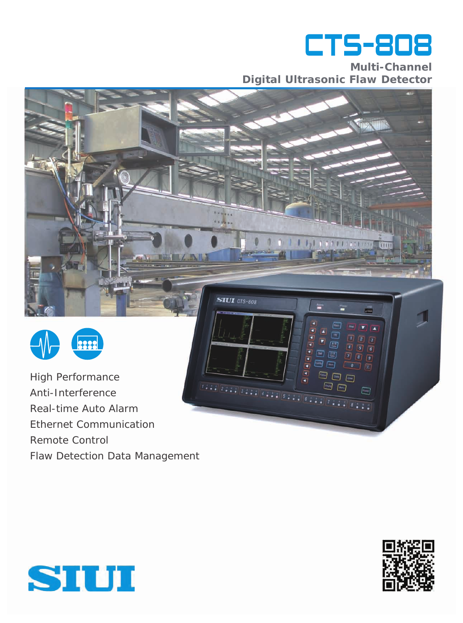

**Multi-Channel Digital Ultrasonic Flaw Detector**

 $111$ 

□

 $\boxed{9}$  $\sqrt{z}$ 

 $\Box$ 

 $\sqrt{2m}$ 

SILII CTS-808



High Performance Anti-Interference Real-time Auto Alarm Ethernet Communication Remote Control Flaw Detection Data Management



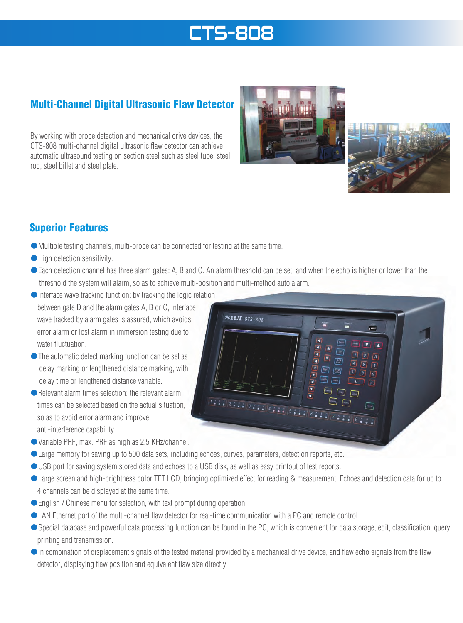# **CTS-808**

# Multi-Channel Digital Ultrasonic Flaw Detector

By working with probe detection and mechanical drive devices, the CTS-808 multi-channel digital ultrasonic flaw detector can achieve automatic ultrasound testing on section steel such as steel tube, steel rod, steel billet and steel plate.





## Superior Features

- ●Multiple testing channels, multi-probe can be connected for testing at the same time.
- High detection sensitivity.
- ●Each detection channel has three alarm gates: A, B and C. An alarm threshold can be set, and when the echo is higher or lower than the threshold the system will alarm, so as to achieve multi-position and multi-method auto alarm.
- ●Interface wave tracking function: by tracking the logic relation between gate D and the alarm gates A, B or C, interface wave tracked by alarm gates is assured, which avoids error alarm or lost alarm in immersion testing due to water fluctuation.
- ●The automatic defect marking function can be set as delay marking or lengthened distance marking, with delay time or lengthened distance variable.
- Relevant alarm times selection: the relevant alarm times can be selected based on the actual situation, so as to avoid error alarm and improve anti-interference capability.
- ●Variable PRF, max. PRF as high as 2.5 KHz/channel.
- Large memory for saving up to 500 data sets, including echoes, curves, parameters, detection reports, etc.
- USB port for saving system stored data and echoes to a USB disk, as well as easy printout of test reports.
- Large screen and high-brightness color TFT LCD, bringing optimized effect for reading & measurement. Echoes and detection data for up to 4 channels can be displayed at the same time.
- English / Chinese menu for selection, with text prompt during operation.
- LAN Ethernet port of the multi-channel flaw detector for real-time communication with a PC and remote control.
- Special database and powerful data processing function can be found in the PC, which is convenient for data storage, edit, classification, query, printing and transmission.
- ●In combination of displacement signals of the tested material provided by a mechanical drive device, and flaw echo signals from the flaw detector, displaying flaw position and equivalent flaw size directly.

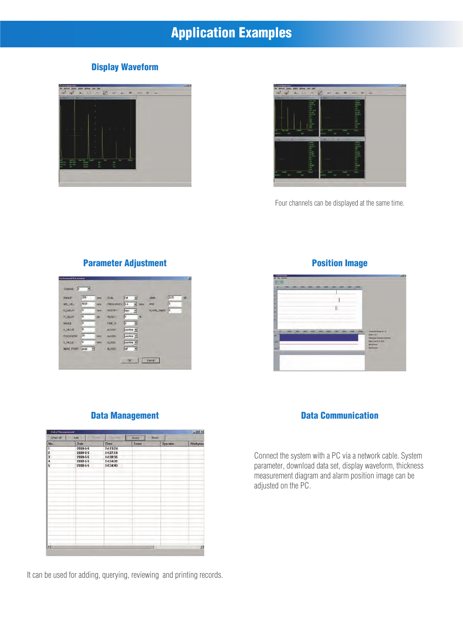# Application Examples

#### Display Waveform





Four channels can be displayed at the same time.

#### $\overline{z}$ RANGE **MTL.VEL** FREQUE **DURLAY** RECTIFI PLOELAY RESOT MOLE FRE.0 KVALUE i B or H **BLOOK** wz  $t$ <sub>DGK</sub>  $\overline{z}$ F  $\sqrt{at}$ **MEAS POINT ILODK**

### **Parameter Adjustment Parameter Adjustment Parameter Adjustment**



### Data Management

| $-101 \times$ | Data Management |      |       |                 |                                    |             |                         |  |
|---------------|-----------------|------|-------|-----------------|------------------------------------|-------------|-------------------------|--|
|               |                 | Show | Quary | <b>Limitate</b> | <b>Show All</b><br>Director<br>Add |             |                         |  |
| Warkpiec      | Operator        |      | Team  | Time            |                                    | <b>Date</b> | No.                     |  |
| $\sim$        |                 |      |       | 14:13:24        |                                    | 2009-5-5    | 1                       |  |
|               |                 |      |       | 14:27:18        |                                    | 2009-5-5    | ź                       |  |
|               |                 |      |       | 14:28:35        | 2009-5-5                           |             | 3                       |  |
|               |                 |      |       | 14:34:32        | 2009-5-5                           |             | đ                       |  |
|               |                 |      |       | 14:34:43        |                                    | 2009-5-5    | $\overline{\mathbf{s}}$ |  |
|               |                 |      |       |                 |                                    |             |                         |  |
|               |                 |      |       |                 |                                    |             |                         |  |
|               |                 |      |       |                 |                                    |             |                         |  |
|               |                 |      |       |                 |                                    |             |                         |  |
|               |                 |      |       |                 |                                    |             |                         |  |
|               |                 |      |       |                 |                                    |             |                         |  |
|               |                 |      |       |                 |                                    |             |                         |  |
|               |                 |      |       |                 |                                    |             |                         |  |
|               |                 |      |       |                 |                                    |             |                         |  |
|               |                 |      |       |                 |                                    |             |                         |  |
|               |                 |      |       |                 |                                    |             |                         |  |
| $\mathcal{F}$ |                 |      |       |                 |                                    |             | 実例                      |  |

It can be used for adding, querying, reviewing and printing records.

#### Data Communication

Connect the system with a PC via a network cable. System parameter, download data set, display waveform, thickness measurement diagram and alarm position image can be adjusted on the PC.